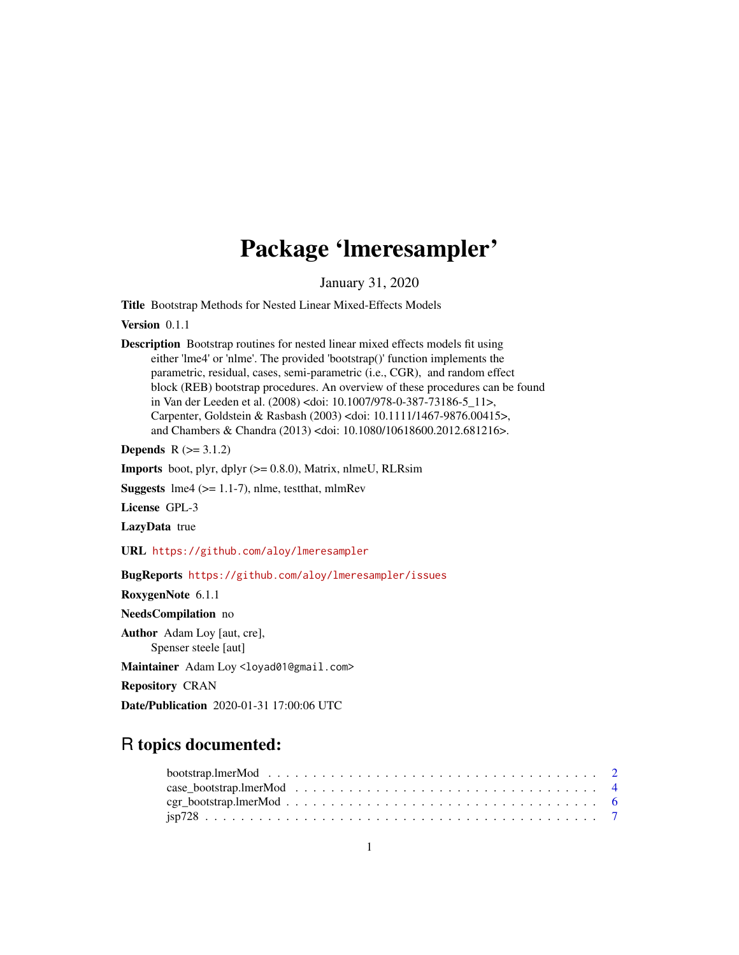## Package 'lmeresampler'

January 31, 2020

<span id="page-0-0"></span>Title Bootstrap Methods for Nested Linear Mixed-Effects Models

Version 0.1.1

Description Bootstrap routines for nested linear mixed effects models fit using either 'lme4' or 'nlme'. The provided 'bootstrap()' function implements the parametric, residual, cases, semi-parametric (i.e., CGR), and random effect block (REB) bootstrap procedures. An overview of these procedures can be found in Van der Leeden et al. (2008) <doi: 10.1007/978-0-387-73186-5\_11>, Carpenter, Goldstein & Rasbash (2003) <doi: 10.1111/1467-9876.00415>, and Chambers & Chandra (2013) <doi: 10.1080/10618600.2012.681216>.

**Depends**  $R (= 3.1.2)$ 

**Imports** boot, plyr, dplyr  $(>= 0.8.0)$ , Matrix, nlmeU, RLRsim

**Suggests** lme4 ( $>= 1.1-7$ ), nlme, test that, mlmRev

License GPL-3

LazyData true

URL <https://github.com/aloy/lmeresampler>

BugReports <https://github.com/aloy/lmeresampler/issues>

RoxygenNote 6.1.1

NeedsCompilation no

Author Adam Loy [aut, cre],

Spenser steele [aut]

Maintainer Adam Loy <loyad01@gmail.com>

Repository CRAN

Date/Publication 2020-01-31 17:00:06 UTC

### R topics documented:

| $cgr\_bootstrap.lengthMod \dots \dots \dots \dots \dots \dots \dots \dots \dots \dots \dots \dots \dots \dots \dots$ 6 |  |  |  |  |  |  |  |  |  |  |  |  |  |  |  |  |
|------------------------------------------------------------------------------------------------------------------------|--|--|--|--|--|--|--|--|--|--|--|--|--|--|--|--|
|                                                                                                                        |  |  |  |  |  |  |  |  |  |  |  |  |  |  |  |  |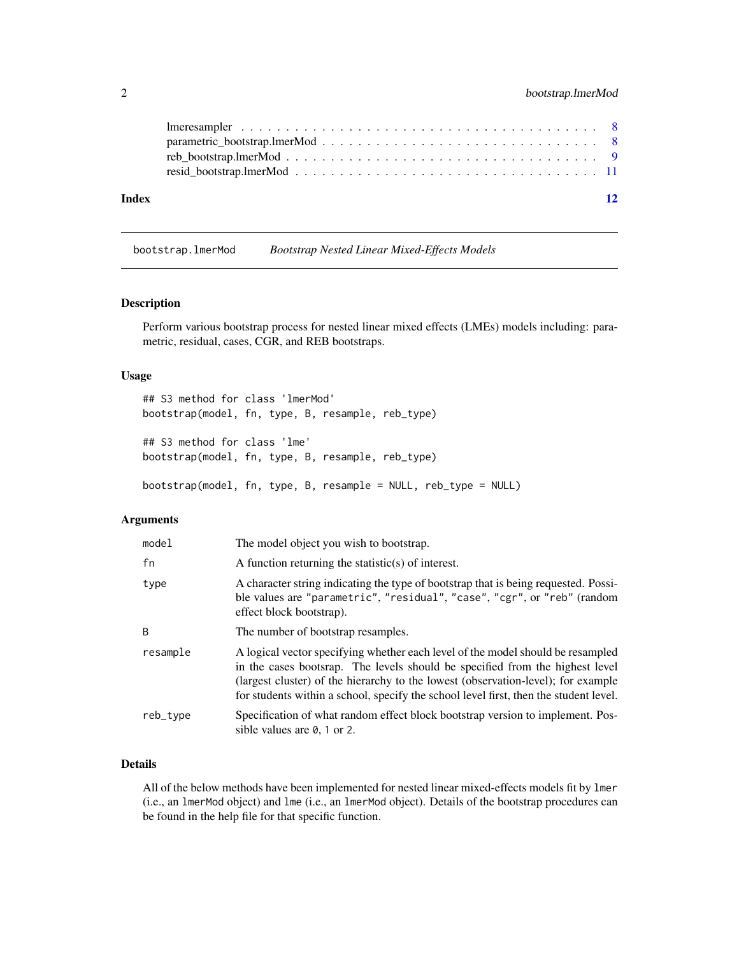<span id="page-1-0"></span>

| 12 |  |
|----|--|
|    |  |
|    |  |
|    |  |
|    |  |
|    |  |

bootstrap.lmerMod *Bootstrap Nested Linear Mixed-Effects Models*

#### Description

Perform various bootstrap process for nested linear mixed effects (LMEs) models including: parametric, residual, cases, CGR, and REB bootstraps.

#### Usage

```
## S3 method for class 'lmerMod'
bootstrap(model, fn, type, B, resample, reb_type)
## S3 method for class 'lme'
bootstrap(model, fn, type, B, resample, reb_type)
bootstrap(model, fn, type, B, resample = NULL, reb_type = NULL)
```
#### Arguments

| model    | The model object you wish to bootstrap.                                                                                                                                                                                                                                                                                                       |
|----------|-----------------------------------------------------------------------------------------------------------------------------------------------------------------------------------------------------------------------------------------------------------------------------------------------------------------------------------------------|
| fn       | A function returning the statistic(s) of interest.                                                                                                                                                                                                                                                                                            |
| type     | A character string indicating the type of bootstrap that is being requested. Possi-<br>ble values are "parametric", "residual", "case", "cgr", or "reb" (random<br>effect block bootstrap).                                                                                                                                                   |
| B        | The number of bootstrap resamples.                                                                                                                                                                                                                                                                                                            |
| resample | A logical vector specifying whether each level of the model should be resampled<br>in the cases bootsrap. The levels should be specified from the highest level<br>(largest cluster) of the hierarchy to the lowest (observation-level); for example<br>for students within a school, specify the school level first, then the student level. |
| reb_type | Specification of what random effect block bootstrap version to implement. Pos-<br>sible values are $\theta$ , 1 or 2.                                                                                                                                                                                                                         |

#### Details

All of the below methods have been implemented for nested linear mixed-effects models fit by lmer (i.e., an lmerMod object) and lme (i.e., an lmerMod object). Details of the bootstrap procedures can be found in the help file for that specific function.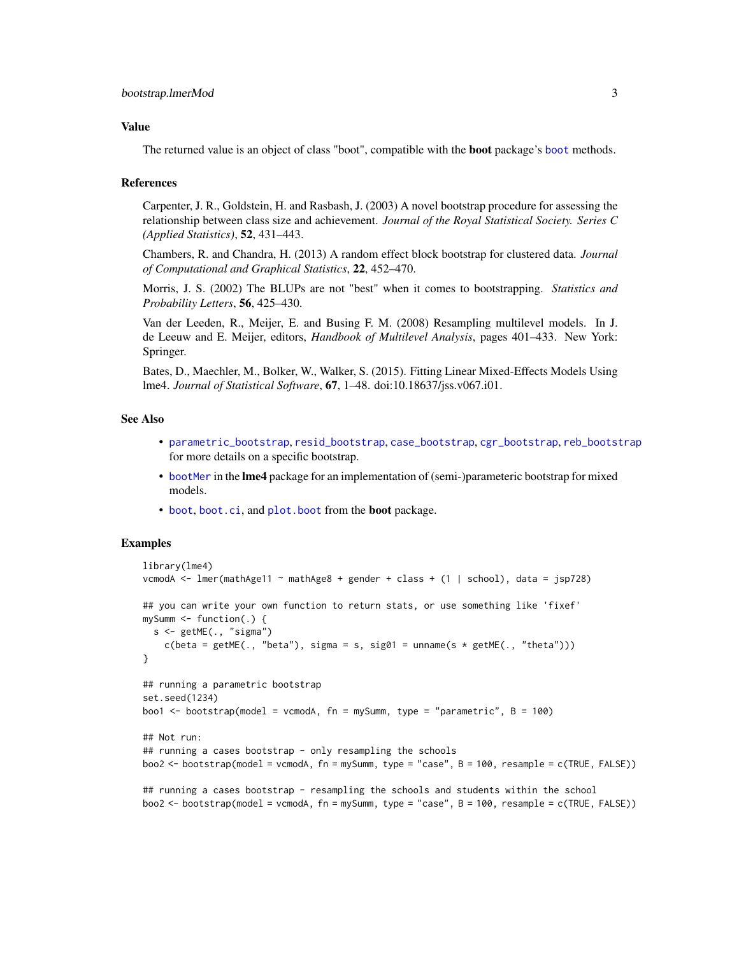#### <span id="page-2-0"></span>Value

The returned value is an object of class "boot", compatible with the boot package's [boot](#page-0-0) methods.

#### References

Carpenter, J. R., Goldstein, H. and Rasbash, J. (2003) A novel bootstrap procedure for assessing the relationship between class size and achievement. *Journal of the Royal Statistical Society. Series C (Applied Statistics)*, 52, 431–443.

Chambers, R. and Chandra, H. (2013) A random effect block bootstrap for clustered data. *Journal of Computational and Graphical Statistics*, 22, 452–470.

Morris, J. S. (2002) The BLUPs are not "best" when it comes to bootstrapping. *Statistics and Probability Letters*, 56, 425–430.

Van der Leeden, R., Meijer, E. and Busing F. M. (2008) Resampling multilevel models. In J. de Leeuw and E. Meijer, editors, *Handbook of Multilevel Analysis*, pages 401–433. New York: Springer.

Bates, D., Maechler, M., Bolker, W., Walker, S. (2015). Fitting Linear Mixed-Effects Models Using lme4. *Journal of Statistical Software*, 67, 1–48. doi:10.18637/jss.v067.i01.

#### See Also

- [parametric\\_bootstrap](#page-7-1), [resid\\_bootstrap](#page-10-1), [case\\_bootstrap](#page-3-1), [cgr\\_bootstrap](#page-5-1), [reb\\_bootstrap](#page-8-1) for more details on a specific bootstrap.
- [bootMer](#page-0-0) in the lme4 package for an implementation of (semi-)parameteric bootstrap for mixed models.
- [boot](#page-0-0), [boot.ci](#page-0-0), and [plot.boot](#page-0-0) from the boot package.

#### Examples

```
library(lme4)
vcmodA <- lmer(mathAge11 ~ mathAge8 + gender + class + (1 | school), data = jsp728)
## you can write your own function to return stats, or use something like 'fixef'
mySumm \leq function(.) {
  s \leq getME(., "sigma")c(beta = getME(., 'beta''), sigma = s, sig01 = unname(s * getME(., 'theta'')))}
## running a parametric bootstrap
set.seed(1234)
boo1 <- bootstrap(model = vcmodA, fn = mySumm, type = "parametric", B = 100)
## Not run:
## running a cases bootstrap - only resampling the schools
boo2 <- bootstrap(model = vcmodA, fn = mySumm, type = "case", B = 100, resample = c(TRUE, FALSE))
## running a cases bootstrap - resampling the schools and students within the school
boo2 <- bootstrap(model = vcmodA, fn = mySumm, type = "case", B = 100, resample = c(TRUE, FALSE))
```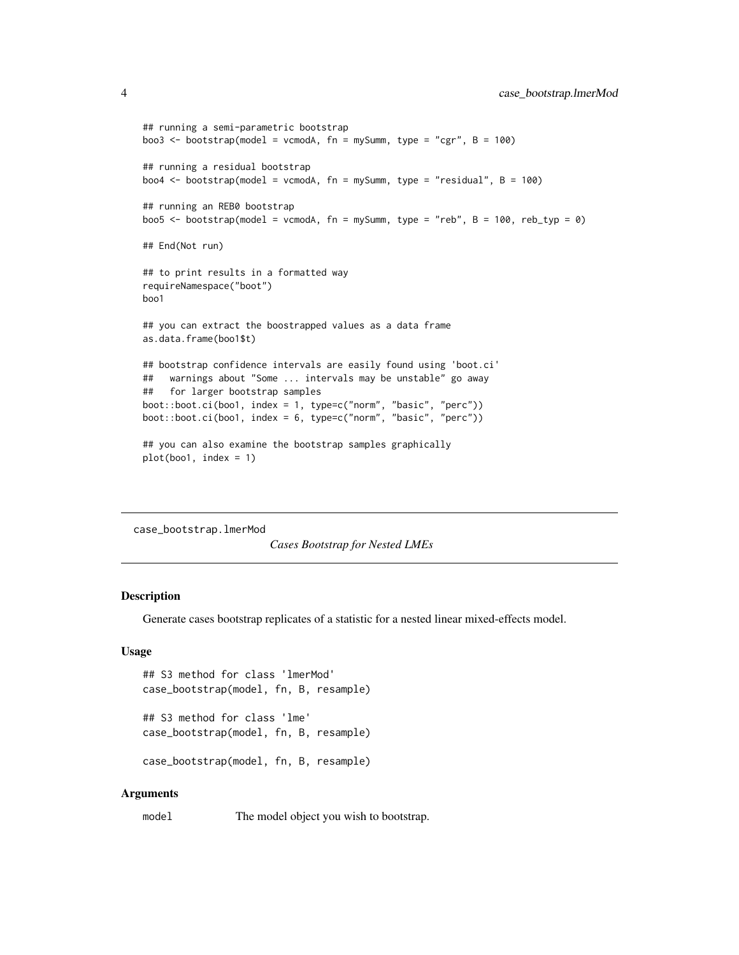```
## running a semi-parametric bootstrap
boo3 \le bootstrap(model = vcmodA, fn = mySumm, type = "cgr", B = 100)
## running a residual bootstrap
boo4 <- bootstrap(model = vcmodA, fn = mySumm, type = "residual", B = 100)
## running an REB0 bootstrap
boo5 <- bootstrap(model = vcmodA, fn = mySumm, type = "reb", B = 100, reb_typ = 0)
## End(Not run)
## to print results in a formatted way
requireNamespace("boot")
boo1
## you can extract the boostrapped values as a data frame
as.data.frame(boo1$t)
## bootstrap confidence intervals are easily found using 'boot.ci'
## warnings about "Some ... intervals may be unstable" go away
## for larger bootstrap samples
boot::boot.ci(boo1, index = 1, type=c("norm", "basic", "perc"))
boot::boot.ci(boo1, index = 6, type=c("norm", "basic", "perc"))
## you can also examine the bootstrap samples graphically
plot(boo1, index = 1)
```
case\_bootstrap.lmerMod

*Cases Bootstrap for Nested LMEs*

#### <span id="page-3-1"></span>**Description**

Generate cases bootstrap replicates of a statistic for a nested linear mixed-effects model.

#### Usage

```
## S3 method for class 'lmerMod'
case_bootstrap(model, fn, B, resample)
## S3 method for class 'lme'
```

```
case_bootstrap(model, fn, B, resample)
case_bootstrap(model, fn, B, resample)
```
#### Arguments

model The model object you wish to bootstrap.

<span id="page-3-0"></span>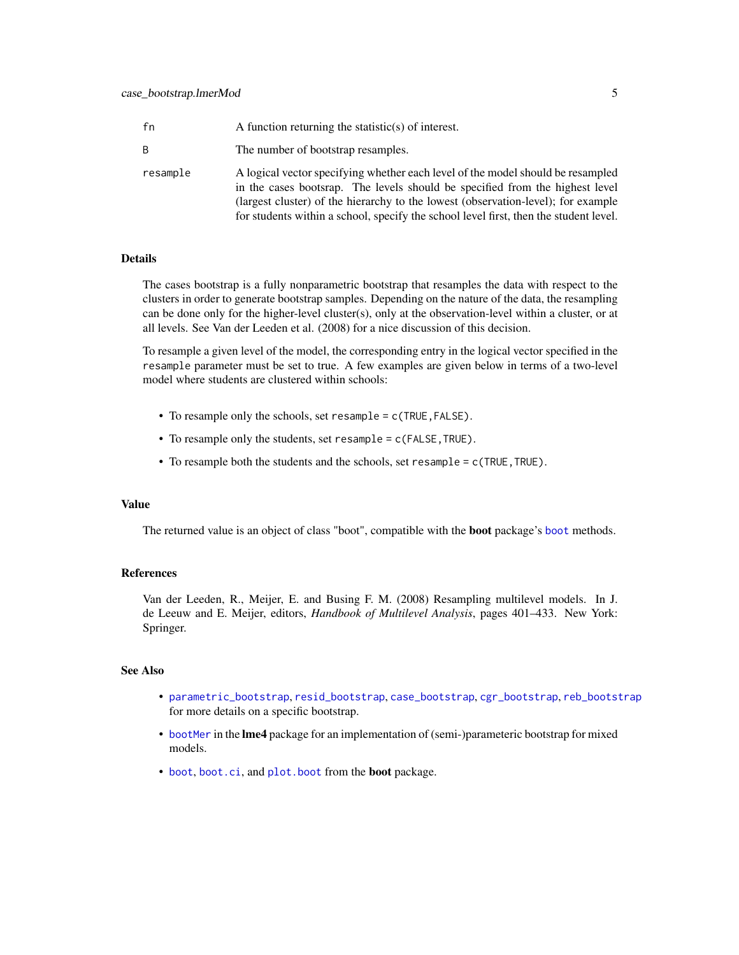<span id="page-4-0"></span>

| fn       | A function returning the statistic(s) of interest.                                                                                                                                                                                                                                                                                            |
|----------|-----------------------------------------------------------------------------------------------------------------------------------------------------------------------------------------------------------------------------------------------------------------------------------------------------------------------------------------------|
| B.       | The number of bootstrap resamples.                                                                                                                                                                                                                                                                                                            |
| resample | A logical vector specifying whether each level of the model should be resampled<br>in the cases bootsrap. The levels should be specified from the highest level<br>(largest cluster) of the hierarchy to the lowest (observation-level); for example<br>for students within a school, specify the school level first, then the student level. |

#### Details

The cases bootstrap is a fully nonparametric bootstrap that resamples the data with respect to the clusters in order to generate bootstrap samples. Depending on the nature of the data, the resampling can be done only for the higher-level cluster(s), only at the observation-level within a cluster, or at all levels. See Van der Leeden et al. (2008) for a nice discussion of this decision.

To resample a given level of the model, the corresponding entry in the logical vector specified in the resample parameter must be set to true. A few examples are given below in terms of a two-level model where students are clustered within schools:

- To resample only the schools, set resample = c(TRUE,FALSE).
- To resample only the students, set resample = c(FALSE,TRUE).
- To resample both the students and the schools, set resample =  $c$  (TRUE, TRUE).

#### Value

The returned value is an object of class "boot", compatible with the boot package's [boot](#page-0-0) methods.

#### References

Van der Leeden, R., Meijer, E. and Busing F. M. (2008) Resampling multilevel models. In J. de Leeuw and E. Meijer, editors, *Handbook of Multilevel Analysis*, pages 401–433. New York: Springer.

#### See Also

- [parametric\\_bootstrap](#page-7-1), [resid\\_bootstrap](#page-10-1), [case\\_bootstrap](#page-3-1), [cgr\\_bootstrap](#page-5-1), [reb\\_bootstrap](#page-8-1) for more details on a specific bootstrap.
- [bootMer](#page-0-0) in the lme4 package for an implementation of (semi-)parameteric bootstrap for mixed models.
- [boot](#page-0-0), [boot.ci](#page-0-0), and [plot.boot](#page-0-0) from the **boot** package.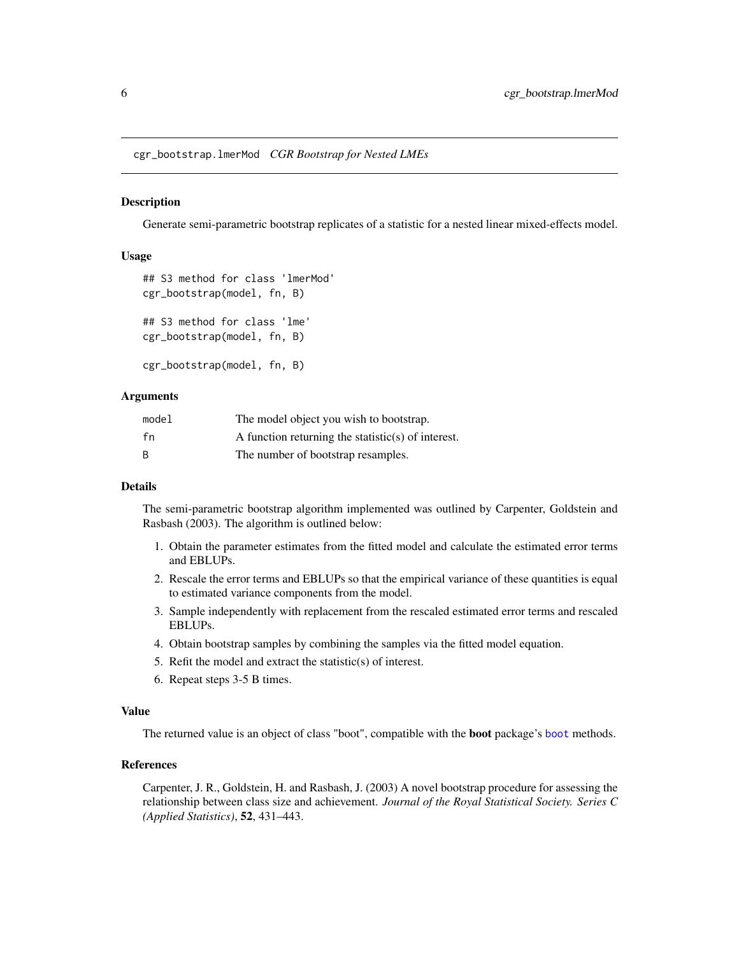<span id="page-5-0"></span>cgr\_bootstrap.lmerMod *CGR Bootstrap for Nested LMEs*

#### <span id="page-5-1"></span>Description

Generate semi-parametric bootstrap replicates of a statistic for a nested linear mixed-effects model.

#### Usage

```
## S3 method for class 'lmerMod'
cgr_bootstrap(model, fn, B)
## S3 method for class 'lme'
cgr_bootstrap(model, fn, B)
cgr_bootstrap(model, fn, B)
```
#### Arguments

| model | The model object you wish to bootstrap.            |
|-------|----------------------------------------------------|
| fn    | A function returning the statistic(s) of interest. |
| B     | The number of bootstrap resamples.                 |

#### Details

The semi-parametric bootstrap algorithm implemented was outlined by Carpenter, Goldstein and Rasbash (2003). The algorithm is outlined below:

- 1. Obtain the parameter estimates from the fitted model and calculate the estimated error terms and EBLUPs.
- 2. Rescale the error terms and EBLUPs so that the empirical variance of these quantities is equal to estimated variance components from the model.
- 3. Sample independently with replacement from the rescaled estimated error terms and rescaled EBLUPs.
- 4. Obtain bootstrap samples by combining the samples via the fitted model equation.
- 5. Refit the model and extract the statistic(s) of interest.
- 6. Repeat steps 3-5 B times.

#### Value

The returned value is an object of class "boot", compatible with the boot package's [boot](#page-0-0) methods.

#### References

Carpenter, J. R., Goldstein, H. and Rasbash, J. (2003) A novel bootstrap procedure for assessing the relationship between class size and achievement. *Journal of the Royal Statistical Society. Series C (Applied Statistics)*, 52, 431–443.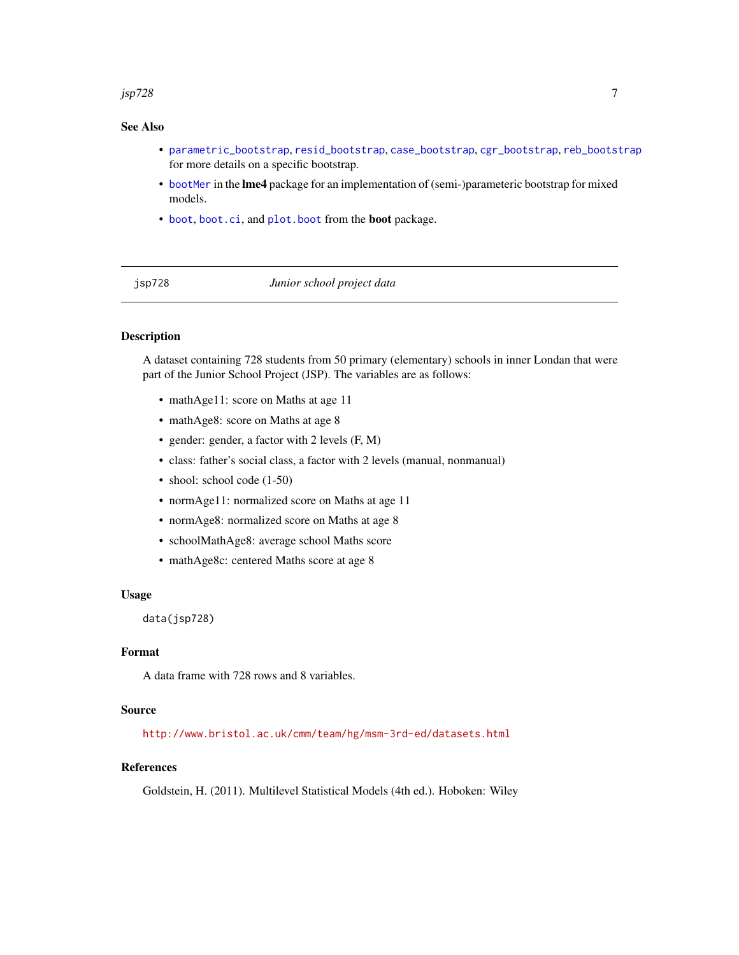#### <span id="page-6-0"></span>jsp $728$

#### See Also

- [parametric\\_bootstrap](#page-7-1), [resid\\_bootstrap](#page-10-1), [case\\_bootstrap](#page-3-1), [cgr\\_bootstrap](#page-5-1), [reb\\_bootstrap](#page-8-1) for more details on a specific bootstrap.
- [bootMer](#page-0-0) in the lme4 package for an implementation of (semi-)parameteric bootstrap for mixed models.
- [boot](#page-0-0), [boot.ci](#page-0-0), and [plot.boot](#page-0-0) from the **boot** package.

jsp728 *Junior school project data*

#### Description

A dataset containing 728 students from 50 primary (elementary) schools in inner Londan that were part of the Junior School Project (JSP). The variables are as follows:

- mathAge11: score on Maths at age 11
- mathAge8: score on Maths at age 8
- gender: gender, a factor with 2 levels (F, M)
- class: father's social class, a factor with 2 levels (manual, nonmanual)
- shool: school code (1-50)
- normAge11: normalized score on Maths at age 11
- normAge8: normalized score on Maths at age 8
- schoolMathAge8: average school Maths score
- mathAge8c: centered Maths score at age 8

#### Usage

data(jsp728)

#### Format

A data frame with 728 rows and 8 variables.

#### Source

<http://www.bristol.ac.uk/cmm/team/hg/msm-3rd-ed/datasets.html>

#### References

Goldstein, H. (2011). Multilevel Statistical Models (4th ed.). Hoboken: Wiley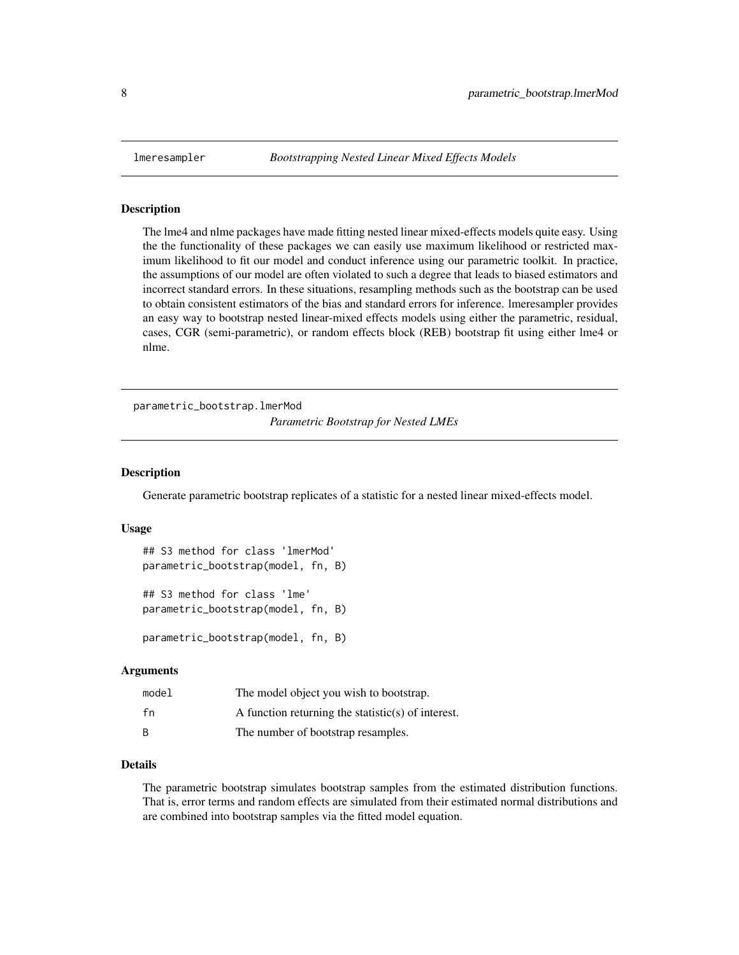<span id="page-7-0"></span>

#### Description

The lme4 and nlme packages have made fitting nested linear mixed-effects models quite easy. Using the the functionality of these packages we can easily use maximum likelihood or restricted maximum likelihood to fit our model and conduct inference using our parametric toolkit. In practice, the assumptions of our model are often violated to such a degree that leads to biased estimators and incorrect standard errors. In these situations, resampling methods such as the bootstrap can be used to obtain consistent estimators of the bias and standard errors for inference. lmeresampler provides an easy way to bootstrap nested linear-mixed effects models using either the parametric, residual, cases, CGR (semi-parametric), or random effects block (REB) bootstrap fit using either lme4 or nlme.

parametric\_bootstrap.lmerMod *Parametric Bootstrap for Nested LMEs*

#### <span id="page-7-1"></span>**Description**

Generate parametric bootstrap replicates of a statistic for a nested linear mixed-effects model.

#### Usage

```
## S3 method for class 'lmerMod'
parametric_bootstrap(model, fn, B)
```
## S3 method for class 'lme' parametric\_bootstrap(model, fn, B)

parametric\_bootstrap(model, fn, B)

#### Arguments

| model | The model object you wish to bootstrap.            |
|-------|----------------------------------------------------|
| fn    | A function returning the statistic(s) of interest. |
| B     | The number of bootstrap resamples.                 |

#### Details

The parametric bootstrap simulates bootstrap samples from the estimated distribution functions. That is, error terms and random effects are simulated from their estimated normal distributions and are combined into bootstrap samples via the fitted model equation.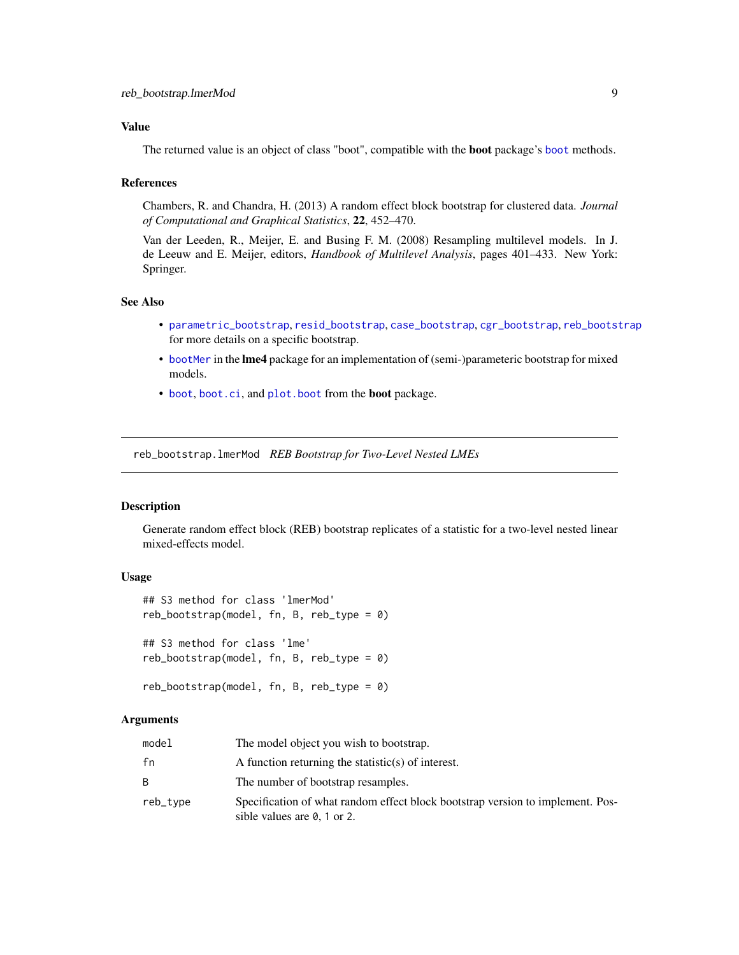#### <span id="page-8-0"></span>Value

The returned value is an object of class "boot", compatible with the boot package's [boot](#page-0-0) methods.

#### References

Chambers, R. and Chandra, H. (2013) A random effect block bootstrap for clustered data. *Journal of Computational and Graphical Statistics*, 22, 452–470.

Van der Leeden, R., Meijer, E. and Busing F. M. (2008) Resampling multilevel models. In J. de Leeuw and E. Meijer, editors, *Handbook of Multilevel Analysis*, pages 401–433. New York: Springer.

#### See Also

- [parametric\\_bootstrap](#page-7-1), [resid\\_bootstrap](#page-10-1), [case\\_bootstrap](#page-3-1), [cgr\\_bootstrap](#page-5-1), [reb\\_bootstrap](#page-8-1) for more details on a specific bootstrap.
- [bootMer](#page-0-0) in the lme4 package for an implementation of (semi-)parameteric bootstrap for mixed models.
- [boot](#page-0-0), [boot.ci](#page-0-0), and [plot.boot](#page-0-0) from the boot package.

reb\_bootstrap.lmerMod *REB Bootstrap for Two-Level Nested LMEs*

#### <span id="page-8-1"></span>**Description**

Generate random effect block (REB) bootstrap replicates of a statistic for a two-level nested linear mixed-effects model.

#### Usage

```
## S3 method for class 'lmerMod'
reb_bootstrap(model, fn, B, reb_type = 0)
## S3 method for class 'lme'
reb\_bootstrap(model, fn, B, reb_type = 0)
```
reb\_bootstrap(model, fn, B, reb\_type = 0)

#### **Arguments**

| model    | The model object you wish to bootstrap.                                                                               |
|----------|-----------------------------------------------------------------------------------------------------------------------|
| fn       | A function returning the statistic(s) of interest.                                                                    |
|          | The number of bootstrap resamples.                                                                                    |
| reb_type | Specification of what random effect block bootstrap version to implement. Pos-<br>sible values are $\theta$ , 1 or 2. |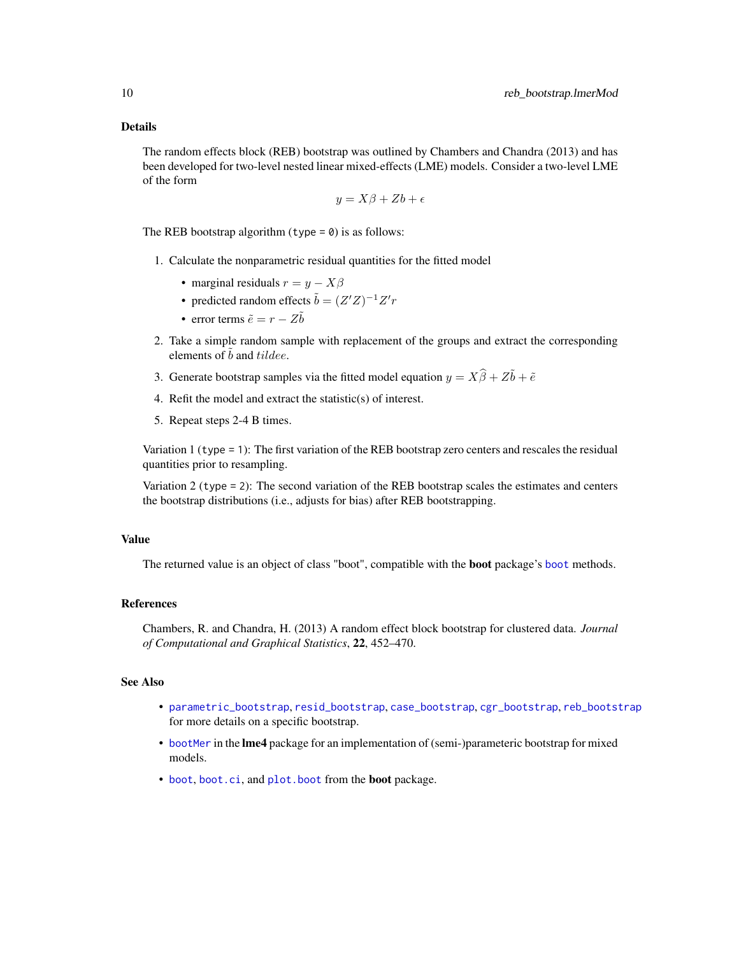#### Details

The random effects block (REB) bootstrap was outlined by Chambers and Chandra (2013) and has been developed for two-level nested linear mixed-effects (LME) models. Consider a two-level LME of the form

$$
y = X\beta + Zb + \epsilon
$$

The REB bootstrap algorithm  $(type = 0)$  is as follows:

- 1. Calculate the nonparametric residual quantities for the fitted model
	- marginal residuals  $r = y X\beta$
	- predicted random effects  $\tilde{b} = (Z'Z)^{-1}Z'r$
	- error terms  $\tilde{e} = r Z\tilde{b}$
- 2. Take a simple random sample with replacement of the groups and extract the corresponding elements of  $\tilde{b}$  and tildee.
- 3. Generate bootstrap samples via the fitted model equation  $y = X\hat{\beta} + Z\tilde{b} + \tilde{e}$
- 4. Refit the model and extract the statistic(s) of interest.
- 5. Repeat steps 2-4 B times.

Variation 1 (type = 1): The first variation of the REB bootstrap zero centers and rescales the residual quantities prior to resampling.

Variation 2 (type = 2): The second variation of the REB bootstrap scales the estimates and centers the bootstrap distributions (i.e., adjusts for bias) after REB bootstrapping.

#### Value

The returned value is an object of class "[boot](#page-0-0)", compatible with the **boot** package's boot methods.

#### References

Chambers, R. and Chandra, H. (2013) A random effect block bootstrap for clustered data. *Journal of Computational and Graphical Statistics*, 22, 452–470.

#### See Also

- [parametric\\_bootstrap](#page-7-1), [resid\\_bootstrap](#page-10-1), [case\\_bootstrap](#page-3-1), [cgr\\_bootstrap](#page-5-1), [reb\\_bootstrap](#page-8-1) for more details on a specific bootstrap.
- [bootMer](#page-0-0) in the lme4 package for an implementation of (semi-)parameteric bootstrap for mixed models.
- [boot](#page-0-0), [boot.ci](#page-0-0), and [plot.boot](#page-0-0) from the **boot** package.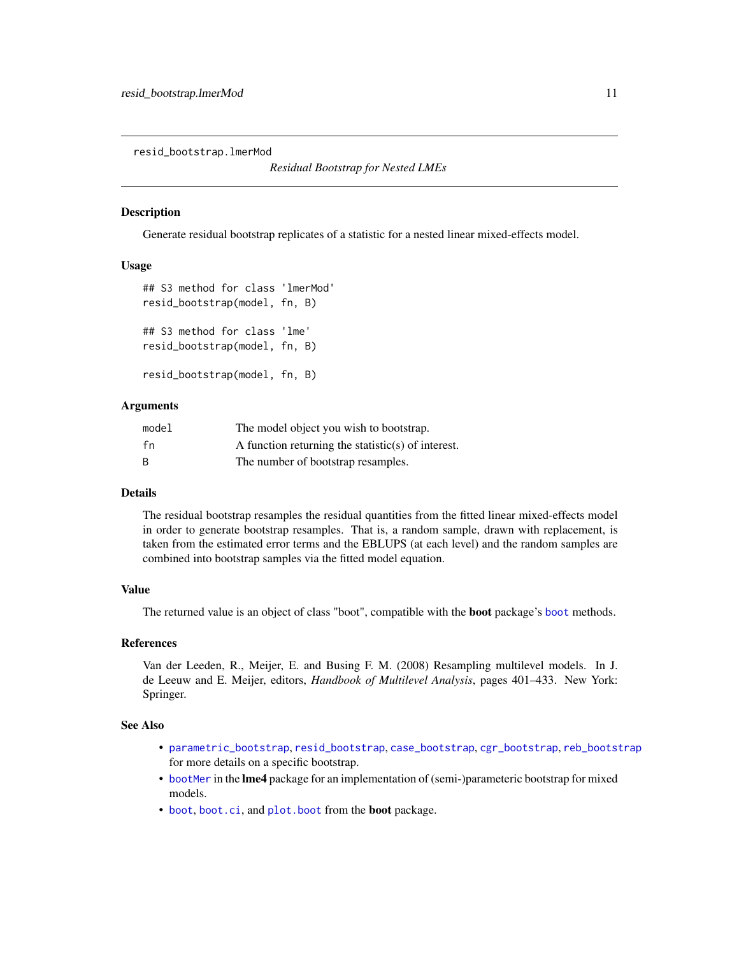<span id="page-10-0"></span>resid\_bootstrap.lmerMod

#### <span id="page-10-1"></span>Description

Generate residual bootstrap replicates of a statistic for a nested linear mixed-effects model.

#### Usage

```
## S3 method for class 'lmerMod'
resid_bootstrap(model, fn, B)
## S3 method for class 'lme'
resid_bootstrap(model, fn, B)
resid_bootstrap(model, fn, B)
```
#### **Arguments**

| model | The model object you wish to bootstrap.            |
|-------|----------------------------------------------------|
| fn    | A function returning the statistic(s) of interest. |
| B     | The number of bootstrap resamples.                 |

#### Details

The residual bootstrap resamples the residual quantities from the fitted linear mixed-effects model in order to generate bootstrap resamples. That is, a random sample, drawn with replacement, is taken from the estimated error terms and the EBLUPS (at each level) and the random samples are combined into bootstrap samples via the fitted model equation.

#### Value

The returned value is an object of class "boot", compatible with the boot package's [boot](#page-0-0) methods.

#### References

Van der Leeden, R., Meijer, E. and Busing F. M. (2008) Resampling multilevel models. In J. de Leeuw and E. Meijer, editors, *Handbook of Multilevel Analysis*, pages 401–433. New York: Springer.

#### See Also

- [parametric\\_bootstrap](#page-7-1), [resid\\_bootstrap](#page-10-1), [case\\_bootstrap](#page-3-1), [cgr\\_bootstrap](#page-5-1), [reb\\_bootstrap](#page-8-1) for more details on a specific bootstrap.
- [bootMer](#page-0-0) in the lme4 package for an implementation of (semi-)parameteric bootstrap for mixed models.
- [boot](#page-0-0), [boot.ci](#page-0-0), and [plot.boot](#page-0-0) from the boot package.